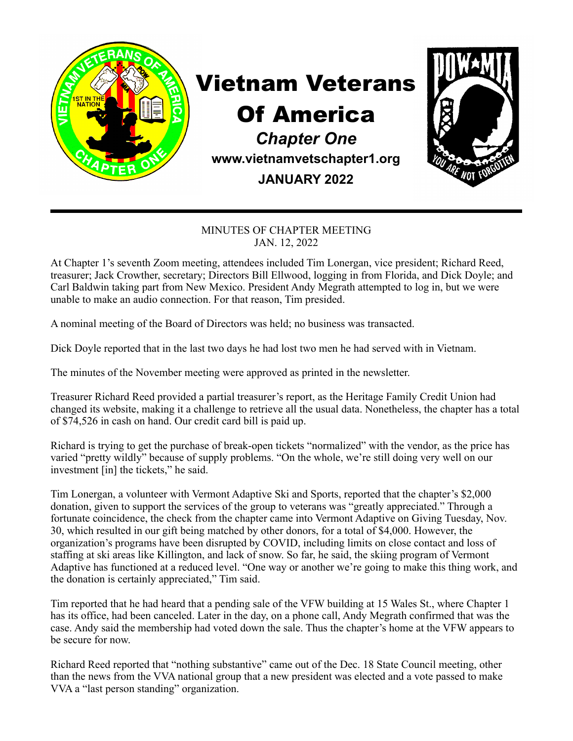

## Vietnam Veterans

## Of America

*Chapter One*  **www.vietnamvetschapter1.org JANUARY 2022**



## MINUTES OF CHAPTER MEETING JAN. 12, 2022

At Chapter 1's seventh Zoom meeting, attendees included Tim Lonergan, vice president; Richard Reed, treasurer; Jack Crowther, secretary; Directors Bill Ellwood, logging in from Florida, and Dick Doyle; and Carl Baldwin taking part from New Mexico. President Andy Megrath attempted to log in, but we were unable to make an audio connection. For that reason, Tim presided.

A nominal meeting of the Board of Directors was held; no business was transacted.

Dick Doyle reported that in the last two days he had lost two men he had served with in Vietnam.

The minutes of the November meeting were approved as printed in the newsletter.

Treasurer Richard Reed provided a partial treasurer's report, as the Heritage Family Credit Union had changed its website, making it a challenge to retrieve all the usual data. Nonetheless, the chapter has a total of \$74,526 in cash on hand. Our credit card bill is paid up.

Richard is trying to get the purchase of break-open tickets "normalized" with the vendor, as the price has varied "pretty wildly" because of supply problems. "On the whole, we're still doing very well on our investment [in] the tickets," he said.

Tim Lonergan, a volunteer with Vermont Adaptive Ski and Sports, reported that the chapter's \$2,000 donation, given to support the services of the group to veterans was "greatly appreciated." Through a fortunate coincidence, the check from the chapter came into Vermont Adaptive on Giving Tuesday, Nov. 30, which resulted in our gift being matched by other donors, for a total of \$4,000. However, the organization's programs have been disrupted by COVID, including limits on close contact and loss of staffing at ski areas like Killington, and lack of snow. So far, he said, the skiing program of Vermont Adaptive has functioned at a reduced level. "One way or another we're going to make this thing work, and the donation is certainly appreciated," Tim said.

Tim reported that he had heard that a pending sale of the VFW building at 15 Wales St., where Chapter 1 has its office, had been canceled. Later in the day, on a phone call, Andy Megrath confirmed that was the case. Andy said the membership had voted down the sale. Thus the chapter's home at the VFW appears to be secure for now.

Richard Reed reported that "nothing substantive" came out of the Dec. 18 State Council meeting, other than the news from the VVA national group that a new president was elected and a vote passed to make VVA a "last person standing" organization.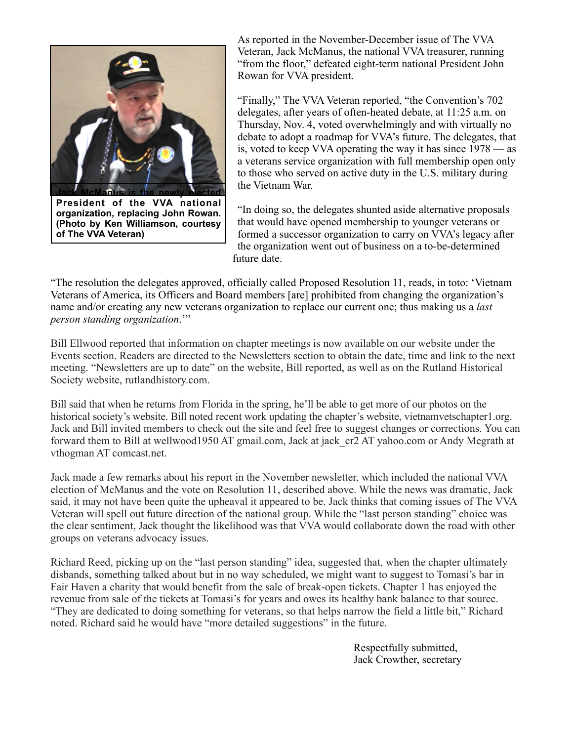

**President of the VVA national organization, replacing John Rowan. (Photo by Ken Williamson, courtesy of The VVA Veteran)**

As reported in the November-December issue of The VVA Veteran, Jack McManus, the national VVA treasurer, running "from the floor," defeated eight-term national President John Rowan for VVA president.

"Finally," The VVA Veteran reported, "the Convention's 702 delegates, after years of often-heated debate, at 11:25 a.m. on Thursday, Nov. 4, voted overwhelmingly and with virtually no debate to adopt a roadmap for VVA's future. The delegates, that is, voted to keep VVA operating the way it has since 1978 — as a veterans service organization with full membership open only to those who served on active duty in the U.S. military during the Vietnam War.

"In doing so, the delegates shunted aside alternative proposals that would have opened membership to younger veterans or formed a successor organization to carry on VVA's legacy after the organization went out of business on a to-be-determined future date.

"The resolution the delegates approved, officially called Proposed Resolution 11, reads, in toto: 'Vietnam Veterans of America, its Officers and Board members [are] prohibited from changing the organization's name and/or creating any new veterans organization to replace our current one; thus making us a *last person standing organization*.'"

Bill Ellwood reported that information on chapter meetings is now available on our website under the Events section. Readers are directed to the Newsletters section to obtain the date, time and link to the next meeting. "Newsletters are up to date" on the website, Bill reported, as well as on the Rutland Historical Society website, rutlandhistory.com.

Bill said that when he returns from Florida in the spring, he'll be able to get more of our photos on the historical society's website. Bill noted recent work updating the chapter's website, vietnamvetschapter1.org. Jack and Bill invited members to check out the site and feel free to suggest changes or corrections. You can forward them to Bill at wellwood1950 AT gmail.com, Jack at jack\_cr2 AT yahoo.com or Andy Megrath at vthogman AT comcast.net.

Jack made a few remarks about his report in the November newsletter, which included the national VVA election of McManus and the vote on Resolution 11, described above. While the news was dramatic, Jack said, it may not have been quite the upheaval it appeared to be. Jack thinks that coming issues of The VVA Veteran will spell out future direction of the national group. While the "last person standing" choice was the clear sentiment, Jack thought the likelihood was that VVA would collaborate down the road with other groups on veterans advocacy issues.

Richard Reed, picking up on the "last person standing" idea, suggested that, when the chapter ultimately disbands, something talked about but in no way scheduled, we might want to suggest to Tomasi's bar in Fair Haven a charity that would benefit from the sale of break-open tickets. Chapter 1 has enjoyed the revenue from sale of the tickets at Tomasi's for years and owes its healthy bank balance to that source. "They are dedicated to doing something for veterans, so that helps narrow the field a little bit," Richard noted. Richard said he would have "more detailed suggestions" in the future.

> Respectfully submitted, Jack Crowther, secretary